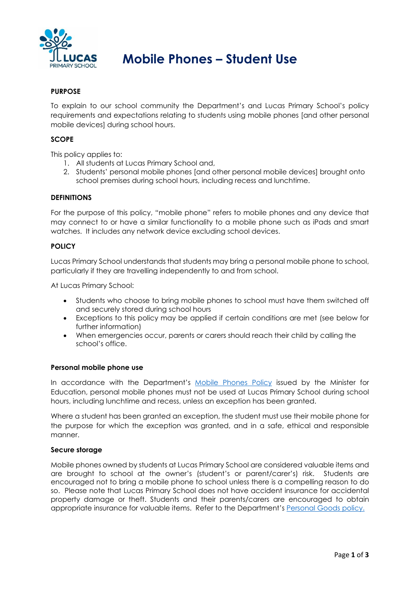

# **Mobile Phones – Student Use**

# **PURPOSE**

To explain to our school community the Department's and Lucas Primary School's policy requirements and expectations relating to students using mobile phones [and other personal mobile devices] during school hours.

#### **SCOPE**

This policy applies to:

- 1. All students at Lucas Primary School and,
- 2. Students' personal mobile phones [and other personal mobile devices] brought onto school premises during school hours, including recess and lunchtime.

#### **DEFINITIONS**

For the purpose of this policy, "mobile phone" refers to mobile phones and any device that may connect to or have a similar functionality to a mobile phone such as iPads and smart watches. It includes any network device excluding school devices.

#### **POLICY**

Lucas Primary School understands that students may bring a personal mobile phone to school, particularly if they are travelling independently to and from school.

At Lucas Primary School:

- Students who choose to bring mobile phones to school must have them switched off and securely stored during school hours
- Exceptions to this policy may be applied if certain conditions are met (see below for further information)
- When emergencies occur, parents or carers should reach their child by calling the school's office.

#### **Personal mobile phone use**

In accordance with the Department's Mobile Phones Policy issued by the Minister for Education, personal mobile phones must not be used at Lucas Primary School during school hours, including lunchtime and recess, unless an exception has been granted.

Where a student has been granted an exception, the student must use their mobile phone for the purpose for which the exception was granted, and in a safe, ethical and responsible manner.

#### **Secure storage**

Mobile phones owned by students at Lucas Primary School are considered valuable items and are brought to school at the owner's (student's or parent/carer's) risk. Students are encouraged not to bring a mobile phone to school unless there is a compelling reason to do so. Please note that Lucas Primary School does not have accident insurance for accidental property damage or theft. Students and their parents/carers are encouraged to obtain appropriate insurance for valuable items. Refer to the Department's Personal Goods policy.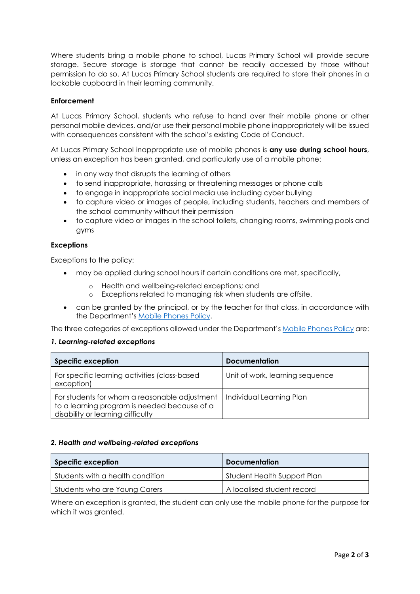Where students bring a mobile phone to school, Lucas Primary School will provide secure storage. Secure storage is storage that cannot be readily accessed by those without permission to do so. At Lucas Primary School students are required to store their phones in a lockable cupboard in their learning community.

## **Enforcement**

At Lucas Primary School, students who refuse to hand over their mobile phone or other personal mobile devices, and/or use their personal mobile phone inappropriately will be issued with consequences consistent with the school's existing Code of Conduct.

At Lucas Primary School inappropriate use of mobile phones is **any use during school hours**, unless an exception has been granted, and particularly use of a mobile phone:

- in any way that disrupts the learning of others
- to send inappropriate, harassing or threatening messages or phone calls
- to engage in inappropriate social media use including cyber bullying
- to capture video or images of people, including students, teachers and members of the school community without their permission
- to capture video or images in the school toilets, changing rooms, swimming pools and gyms

#### **Exceptions**

Exceptions to the policy:

- may be applied during school hours if certain conditions are met, specifically,
	- o Health and wellbeing-related exceptions; and
	- o Exceptions related to managing risk when students are offsite.
- can be granted by the principal, or by the teacher for that class, in accordance with the Department's Mobile Phones Policy.

The three categories of exceptions allowed under the Department's Mobile Phones Policy are:

#### *1. Learning-related exceptions*

| <b>Specific exception</b>                                                                                                          | <b>Documentation</b>            |
|------------------------------------------------------------------------------------------------------------------------------------|---------------------------------|
| For specific learning activities (class-based)<br>exception)                                                                       | Unit of work, learning sequence |
| For students for whom a reasonable adjustment<br>to a learning program is needed because of a<br>disability or learning difficulty | Individual Learning Plan        |

#### *2. Health and wellbeing-related exceptions*

| <b>Specific exception</b>        | <b>Documentation</b>        |
|----------------------------------|-----------------------------|
| Students with a health condition | Student Health Support Plan |
| Students who are Young Carers    | A localised student record  |

Where an exception is granted, the student can only use the mobile phone for the purpose for which it was granted.